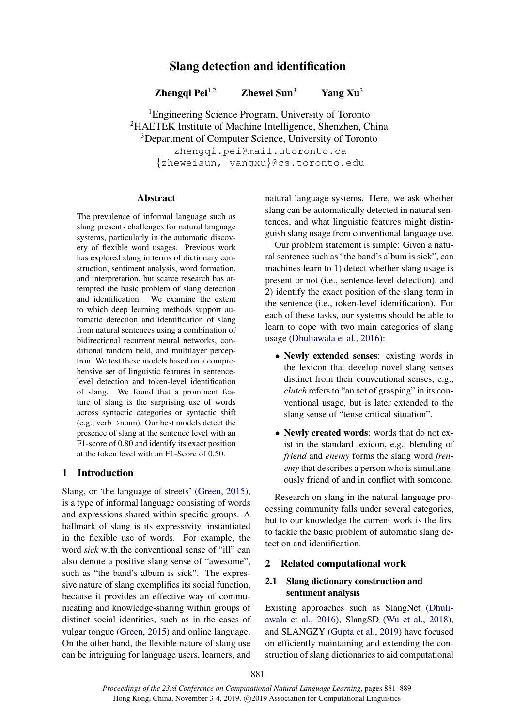# Slang detection and identification

Zhengqi Pei<sup>1,2</sup> Zhewei Sun<sup>3</sup> Yang Xu<sup>3</sup>

<sup>1</sup>Engineering Science Program, University of Toronto <sup>2</sup>HAETEK Institute of Machine Intelligence, Shenzhen, China <sup>3</sup>Department of Computer Science, University of Toronto zhengqi.pei@mail.utoronto.ca {zheweisun, yangxu}@cs.toronto.edu

## Abstract

The prevalence of informal language such as slang presents challenges for natural language systems, particularly in the automatic discovery of flexible word usages. Previous work has explored slang in terms of dictionary construction, sentiment analysis, word formation, and interpretation, but scarce research has attempted the basic problem of slang detection and identification. We examine the extent to which deep learning methods support automatic detection and identification of slang from natural sentences using a combination of bidirectional recurrent neural networks, conditional random field, and multilayer perceptron. We test these models based on a comprehensive set of linguistic features in sentencelevel detection and token-level identification of slang. We found that a prominent feature of slang is the surprising use of words across syntactic categories or syntactic shift (e.g., verb→noun). Our best models detect the presence of slang at the sentence level with an F1-score of 0.80 and identify its exact position at the token level with an F1-Score of 0.50.

## 1 Introduction

Slang, or 'the language of streets' [\(Green,](#page-8-0) [2015\)](#page-8-0), is a type of informal language consisting of words and expressions shared within specific groups. A hallmark of slang is its expressivity, instantiated in the flexible use of words. For example, the word *sick* with the conventional sense of "ill" can also denote a positive slang sense of "awesome", such as "the band's album is sick". The expressive nature of slang exemplifies its social function, because it provides an effective way of communicating and knowledge-sharing within groups of distinct social identities, such as in the cases of vulgar tongue [\(Green,](#page-8-0) [2015\)](#page-8-0) and online language. On the other hand, the flexible nature of slang use can be intriguing for language users, learners, and natural language systems. Here, we ask whether slang can be automatically detected in natural sentences, and what linguistic features might distinguish slang usage from conventional language use.

Our problem statement is simple: Given a natural sentence such as "the band's album is sick", can machines learn to 1) detect whether slang usage is present or not (i.e., sentence-level detection), and 2) identify the exact position of the slang term in the sentence (i.e., token-level identification). For each of these tasks, our systems should be able to learn to cope with two main categories of slang usage [\(Dhuliawala et al.,](#page-8-1) [2016\)](#page-8-1):

- Newly extended senses: existing words in the lexicon that develop novel slang senses distinct from their conventional senses, e.g., *clutch* refers to "an act of grasping" in its conventional usage, but is later extended to the slang sense of "tense critical situation".
- Newly created words: words that do not exist in the standard lexicon, e.g., blending of *friend* and *enemy* forms the slang word *frenemy* that describes a person who is simultaneously friend of and in conflict with someone.

Research on slang in the natural language processing community falls under several categories, but to our knowledge the current work is the first to tackle the basic problem of automatic slang detection and identification.

## **Related computational work**

## 2.1 Slang dictionary construction and sentiment analysis

Existing approaches such as SlangNet [\(Dhuli](#page-8-1)[awala et al.,](#page-8-1) [2016\)](#page-8-1), SlangSD [\(Wu et al.,](#page-8-2) [2018\)](#page-8-2), and SLANGZY [\(Gupta et al.,](#page-8-3) [2019\)](#page-8-3) have focused on efficiently maintaining and extending the construction of slang dictionaries to aid computational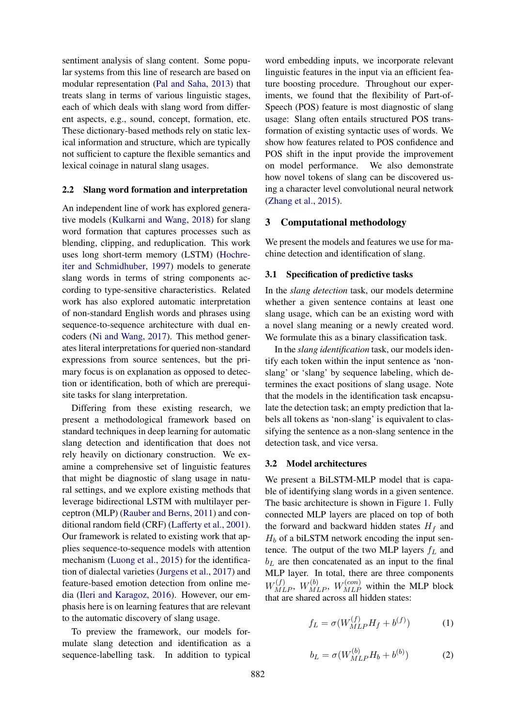sentiment analysis of slang content. Some popular systems from this line of research are based on modular representation [\(Pal and Saha,](#page-8-4) [2013\)](#page-8-4) that treats slang in terms of various linguistic stages, each of which deals with slang word from different aspects, e.g., sound, concept, formation, etc. These dictionary-based methods rely on static lexical information and structure, which are typically not sufficient to capture the flexible semantics and lexical coinage in natural slang usages.

### 2.2 Slang word formation and interpretation

An independent line of work has explored generative models [\(Kulkarni and Wang,](#page-8-5) [2018\)](#page-8-5) for slang word formation that captures processes such as blending, clipping, and reduplication. This work uses long short-term memory (LSTM) [\(Hochre](#page-8-6)[iter and Schmidhuber,](#page-8-6) [1997\)](#page-8-6) models to generate slang words in terms of string components according to type-sensitive characteristics. Related work has also explored automatic interpretation of non-standard English words and phrases using sequence-to-sequence architecture with dual encoders [\(Ni and Wang,](#page-8-7) [2017\)](#page-8-7). This method generates literal interpretations for queried non-standard expressions from source sentences, but the primary focus is on explanation as opposed to detection or identification, both of which are prerequisite tasks for slang interpretation.

Differing from these existing research, we present a methodological framework based on standard techniques in deep learning for automatic slang detection and identification that does not rely heavily on dictionary construction. We examine a comprehensive set of linguistic features that might be diagnostic of slang usage in natural settings, and we explore existing methods that leverage bidirectional LSTM with multilayer perceptron (MLP) [\(Rauber and Berns,](#page-8-8) [2011\)](#page-8-8) and conditional random field (CRF) [\(Lafferty et al.,](#page-8-9) [2001\)](#page-8-9). Our framework is related to existing work that applies sequence-to-sequence models with attention mechanism [\(Luong et al.,](#page-8-10) [2015\)](#page-8-10) for the identification of dialectal varieties [\(Jurgens et al.,](#page-8-11) [2017\)](#page-8-11) and feature-based emotion detection from online media [\(Ileri and Karagoz,](#page-8-12) [2016\)](#page-8-12). However, our emphasis here is on learning features that are relevant to the automatic discovery of slang usage.

To preview the framework, our models formulate slang detection and identification as a sequence-labelling task. In addition to typical

word embedding inputs, we incorporate relevant linguistic features in the input via an efficient feature boosting procedure. Throughout our experiments, we found that the flexibility of Part-of-Speech (POS) feature is most diagnostic of slang usage: Slang often entails structured POS transformation of existing syntactic uses of words. We show how features related to POS confidence and POS shift in the input provide the improvement on model performance. We also demonstrate how novel tokens of slang can be discovered using a character level convolutional neural network [\(Zhang et al.,](#page-8-13) [2015\)](#page-8-13).

## 3 Computational methodology

We present the models and features we use for machine detection and identification of slang.

## 3.1 Specification of predictive tasks

In the *slang detection* task, our models determine whether a given sentence contains at least one slang usage, which can be an existing word with a novel slang meaning or a newly created word. We formulate this as a binary classification task.

In the *slang identification* task, our models identify each token within the input sentence as 'nonslang' or 'slang' by sequence labeling, which determines the exact positions of slang usage. Note that the models in the identification task encapsulate the detection task; an empty prediction that labels all tokens as 'non-slang' is equivalent to classifying the sentence as a non-slang sentence in the detection task, and vice versa.

#### 3.2 Model architectures

We present a BiLSTM-MLP model that is capable of identifying slang words in a given sentence. The basic architecture is shown in Figure [1.](#page-2-0) Fully connected MLP layers are placed on top of both the forward and backward hidden states  $H_f$  and  $H_b$  of a biLSTM network encoding the input sentence. The output of the two MLP layers  $f_L$  and  $b<sub>L</sub>$  are then concatenated as an input to the final MLP layer. In total, there are three components  $W_{MLP}^{(f)}$ ,  $W_{MLP}^{(b)}$ ,  $W_{MLP}^{(con)}$  within the MLP block that are shared across all hidden states:

$$
f_L = \sigma(W_{MLP}^{(f)} H_f + b^{(f)}) \tag{1}
$$

$$
b_L = \sigma(W_{MLP}^{(b)} H_b + b^{(b)})
$$
 (2)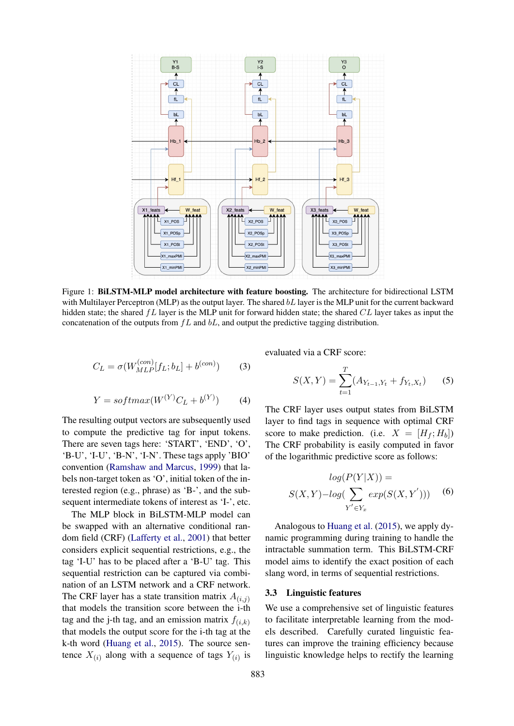<span id="page-2-0"></span>

Figure 1: BiLSTM-MLP model architecture with feature boosting. The architecture for bidirectional LSTM with Multilayer Perceptron (MLP) as the output layer. The shared  $bL$  layer is the MLP unit for the current backward hidden state; the shared  $fL$  layer is the MLP unit for forward hidden state; the shared  $CL$  layer takes as input the concatenation of the outputs from  $fL$  and  $bL$ , and output the predictive tagging distribution.

$$
C_L = \sigma(W_{MLP}^{(con)}[f_L; b_L] + b^{(con)})\tag{3}
$$

$$
Y = softmax(W^{(Y)}C_L + b^{(Y)})
$$
 (4)

The resulting output vectors are subsequently used to compute the predictive tag for input tokens. There are seven tags here: 'START', 'END', 'O', 'B-U', 'I-U', 'B-N', 'I-N'. These tags apply 'BIO' convention [\(Ramshaw and Marcus,](#page-8-14) [1999\)](#page-8-14) that labels non-target token as 'O', initial token of the interested region (e.g., phrase) as 'B-', and the subsequent intermediate tokens of interest as 'I-', etc.

The MLP block in BiLSTM-MLP model can be swapped with an alternative conditional random field (CRF) [\(Lafferty et al.,](#page-8-9) [2001\)](#page-8-9) that better considers explicit sequential restrictions, e.g., the tag 'I-U' has to be placed after a 'B-U' tag. This sequential restriction can be captured via combination of an LSTM network and a CRF network. The CRF layer has a state transition matrix  $A_{(i,j)}$ that models the transition score between the i-th tag and the j-th tag, and an emission matrix  $f(i,k)$ that models the output score for the i-th tag at the k-th word [\(Huang et al.,](#page-8-15) [2015\)](#page-8-15). The source sentence  $X_{(i)}$  along with a sequence of tags  $Y_{(i)}$  is

evaluated via a CRF score:

$$
S(X,Y) = \sum_{t=1}^{T} (A_{Y_{t-1},Y_t} + f_{Y_t,X_t})
$$
 (5)

The CRF layer uses output states from BiLSTM layer to find tags in sequence with optimal CRF score to make prediction. (i.e.  $X = [H_f; H_b]$ ) The CRF probability is easily computed in favor of the logarithmic predictive score as follows:

$$
log(P(Y|X)) =
$$
  

$$
S(X,Y) - log(\sum_{Y' \in Y_x} exp(S(X,Y')))
$$
 (6)

Analogous to [Huang et al.](#page-8-15) [\(2015\)](#page-8-15), we apply dynamic programming during training to handle the intractable summation term. This BiLSTM-CRF model aims to identify the exact position of each slang word, in terms of sequential restrictions.

## 3.3 Linguistic features

We use a comprehensive set of linguistic features to facilitate interpretable learning from the models described. Carefully curated linguistic features can improve the training efficiency because linguistic knowledge helps to rectify the learning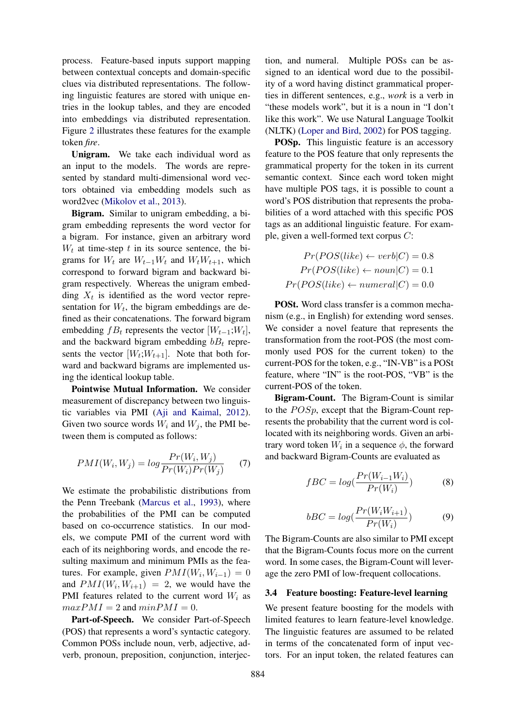process. Feature-based inputs support mapping between contextual concepts and domain-specific clues via distributed representations. The following linguistic features are stored with unique entries in the lookup tables, and they are encoded into embeddings via distributed representation. Figure [2](#page-4-0) illustrates these features for the example token *fire*.

Unigram. We take each individual word as an input to the models. The words are represented by standard multi-dimensional word vectors obtained via embedding models such as word2vec [\(Mikolov et al.,](#page-8-16) [2013\)](#page-8-16).

Bigram. Similar to unigram embedding, a bigram embedding represents the word vector for a bigram. For instance, given an arbitrary word  $W_t$  at time-step t in its source sentence, the bigrams for  $W_t$  are  $W_{t-1}W_t$  and  $W_tW_{t+1}$ , which correspond to forward bigram and backward bigram respectively. Whereas the unigram embedding  $X_t$  is identified as the word vector representation for  $W_t$ , the bigram embeddings are defined as their concatenations. The forward bigram embedding  $fB_t$  represents the vector  $[W_{t-1}; W_t]$ , and the backward bigram embedding  $bB_t$  represents the vector  $[W_t; W_{t+1}]$ . Note that both forward and backward bigrams are implemented using the identical lookup table.

Pointwise Mutual Information. We consider measurement of discrepancy between two linguistic variables via PMI [\(Aji and Kaimal,](#page-8-17) [2012\)](#page-8-17). Given two source words  $W_i$  and  $W_j$ , the PMI between them is computed as follows:

$$
PMI(W_i, W_j) = log \frac{Pr(W_i, W_j)}{Pr(W_i)Pr(W_j)} \tag{7}
$$

We estimate the probabilistic distributions from the Penn Treebank [\(Marcus et al.,](#page-8-18) [1993\)](#page-8-18), where the probabilities of the PMI can be computed based on co-occurrence statistics. In our models, we compute PMI of the current word with each of its neighboring words, and encode the resulting maximum and minimum PMIs as the features. For example, given  $PMI(W_i, W_{i-1}) = 0$ and  $PMI(W_i, W_{i+1}) = 2$ , we would have the PMI features related to the current word  $W_i$  as  $maxPMI = 2$  and  $minPMI = 0$ .

Part-of-Speech. We consider Part-of-Speech (POS) that represents a word's syntactic category. Common POSs include noun, verb, adjective, adverb, pronoun, preposition, conjunction, interjection, and numeral. Multiple POSs can be assigned to an identical word due to the possibility of a word having distinct grammatical properties in different sentences, e.g., *work* is a verb in "these models work", but it is a noun in "I don't like this work". We use Natural Language Toolkit (NLTK) [\(Loper and Bird,](#page-8-19) [2002\)](#page-8-19) for POS tagging.

POSp. This linguistic feature is an accessory feature to the POS feature that only represents the grammatical property for the token in its current semantic context. Since each word token might have multiple POS tags, it is possible to count a word's POS distribution that represents the probabilities of a word attached with this specific POS tags as an additional linguistic feature. For example, given a well-formed text corpus C:

$$
Pr(POS(like) \leftarrow verb|C) = 0.8
$$
  

$$
Pr(POS(like) \leftarrow noun|C) = 0.1
$$
  

$$
Pr(POS(like) \leftarrow numeral|C) = 0.0
$$

POSt. Word class transfer is a common mechanism (e.g., in English) for extending word senses. We consider a novel feature that represents the transformation from the root-POS (the most commonly used POS for the current token) to the current-POS for the token, e.g., "IN-VB" is a POSt feature, where "IN" is the root-POS, "VB" is the current-POS of the token.

Bigram-Count. The Bigram-Count is similar to the  $POSp$ , except that the Bigram-Count represents the probability that the current word is collocated with its neighboring words. Given an arbitrary word token  $W_i$  in a sequence  $\phi$ , the forward and backward Bigram-Counts are evaluated as

$$
fBC = log(\frac{Pr(W_{i-1}W_i)}{Pr(W_i)})
$$
\n(8)

$$
bBC = log(\frac{Pr(W_i W_{i+1})}{Pr(W_i)})
$$
\n(9)

The Bigram-Counts are also similar to PMI except that the Bigram-Counts focus more on the current word. In some cases, the Bigram-Count will leverage the zero PMI of low-frequent collocations.

## 3.4 Feature boosting: Feature-level learning

We present feature boosting for the models with limited features to learn feature-level knowledge. The linguistic features are assumed to be related in terms of the concatenated form of input vectors. For an input token, the related features can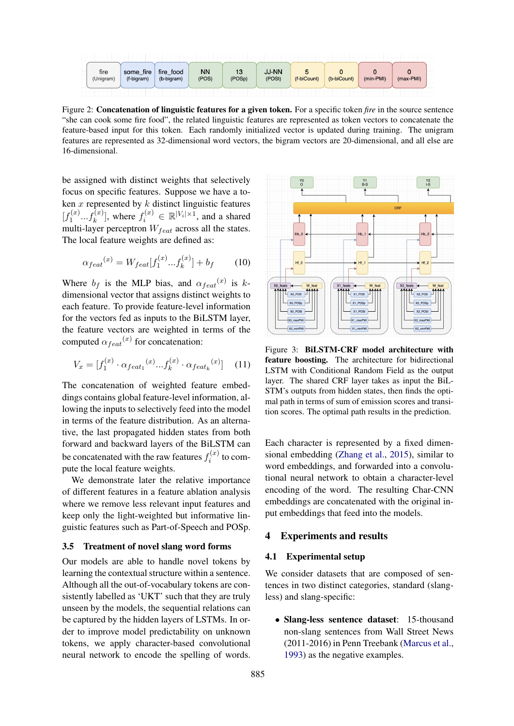<span id="page-4-0"></span>

Figure 2: Concatenation of linguistic features for a given token. For a specific token *fire* in the source sentence "she can cook some fire food", the related linguistic features are represented as token vectors to concatenate the feature-based input for this token. Each randomly initialized vector is updated during training. The unigram features are represented as 32-dimensional word vectors, the bigram vectors are 20-dimensional, and all else are 16-dimensional.

be assigned with distinct weights that selectively focus on specific features. Suppose we have a token  $x$  represented by  $k$  distinct linguistic features  $\left[f_1^{(x)}\right]$  $\{a_1^{(x)}...f_k^{(x)}\}$ , where  $f_i^{(x)} \in \mathbb{R}^{|V_i| \times 1}$ , and a shared multi-layer perceptron  $W_{feat}$  across all the states. The local feature weights are defined as:

$$
\alpha_{feat}(x) = W_{feat}[f_1^{(x)}...f_k^{(x)}] + b_f \tag{10}
$$

Where  $b_f$  is the MLP bias, and  $\alpha_{feat}(x)$  is kdimensional vector that assigns distinct weights to each feature. To provide feature-level information for the vectors fed as inputs to the BiLSTM layer, the feature vectors are weighted in terms of the computed  $\alpha_{feat}^{(x)}$  for concatenation:

$$
V_x = [f_1^{(x)} \cdot \alpha_{feat_1}^{(x)} ... f_k^{(x)} \cdot \alpha_{feat_k}^{(x)}]
$$
 (11)

The concatenation of weighted feature embeddings contains global feature-level information, allowing the inputs to selectively feed into the model in terms of the feature distribution. As an alternative, the last propagated hidden states from both forward and backward layers of the BiLSTM can be concatenated with the raw features  $f_i^{(x)}$  $i^{(x)}$  to compute the local feature weights.

We demonstrate later the relative importance of different features in a feature ablation analysis where we remove less relevant input features and keep only the light-weighted but informative linguistic features such as Part-of-Speech and POSp.

#### 3.5 Treatment of novel slang word forms

Our models are able to handle novel tokens by learning the contextual structure within a sentence. Although all the out-of-vocabulary tokens are consistently labelled as 'UKT' such that they are truly unseen by the models, the sequential relations can be captured by the hidden layers of LSTMs. In order to improve model predictability on unknown tokens, we apply character-based convolutional neural network to encode the spelling of words.



Figure 3: BiLSTM-CRF model architecture with feature boosting. The architecture for bidirectional LSTM with Conditional Random Field as the output layer. The shared CRF layer takes as input the BiL-STM's outputs from hidden states, then finds the optimal path in terms of sum of emission scores and transition scores. The optimal path results in the prediction.

Each character is represented by a fixed dimensional embedding [\(Zhang et al.,](#page-8-13) [2015\)](#page-8-13), similar to word embeddings, and forwarded into a convolutional neural network to obtain a character-level encoding of the word. The resulting Char-CNN embeddings are concatenated with the original input embeddings that feed into the models.

### 4 Experiments and results

## 4.1 Experimental setup

We consider datasets that are composed of sentences in two distinct categories, standard (slangless) and slang-specific:

• Slang-less sentence dataset: 15-thousand non-slang sentences from Wall Street News (2011-2016) in Penn Treebank [\(Marcus et al.,](#page-8-18) [1993\)](#page-8-18) as the negative examples.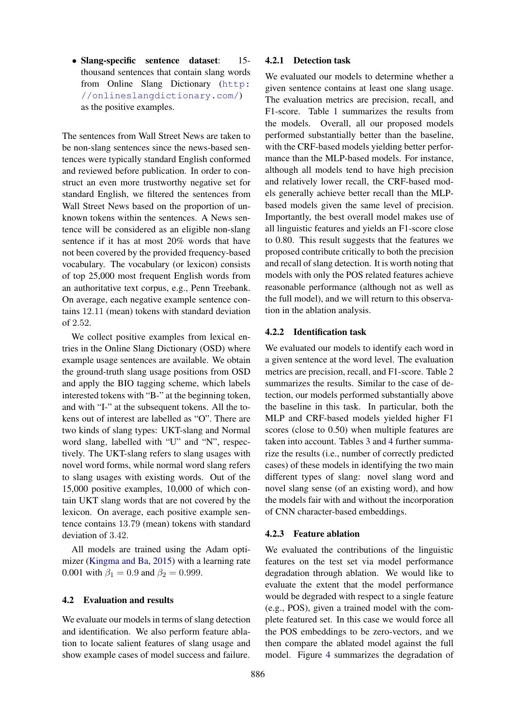• Slang-specific sentence dataset: 15 thousand sentences that contain slang words from Online Slang Dictionary ([http:](http://onlineslangdictionary.com/) [//onlineslangdictionary.com/](http://onlineslangdictionary.com/)) as the positive examples.

The sentences from Wall Street News are taken to be non-slang sentences since the news-based sentences were typically standard English conformed and reviewed before publication. In order to construct an even more trustworthy negative set for standard English, we filtered the sentences from Wall Street News based on the proportion of unknown tokens within the sentences. A News sentence will be considered as an eligible non-slang sentence if it has at most 20% words that have not been covered by the provided frequency-based vocabulary. The vocabulary (or lexicon) consists of top 25,000 most frequent English words from an authoritative text corpus, e.g., Penn Treebank. On average, each negative example sentence contains 12.11 (mean) tokens with standard deviation of 2.52.

We collect positive examples from lexical entries in the Online Slang Dictionary (OSD) where example usage sentences are available. We obtain the ground-truth slang usage positions from OSD and apply the BIO tagging scheme, which labels interested tokens with "B-" at the beginning token, and with "I-" at the subsequent tokens. All the tokens out of interest are labelled as "O". There are two kinds of slang types: UKT-slang and Normal word slang, labelled with "U" and "N", respectively. The UKT-slang refers to slang usages with novel word forms, while normal word slang refers to slang usages with existing words. Out of the 15,000 positive examples, 10,000 of which contain UKT slang words that are not covered by the lexicon. On average, each positive example sentence contains 13.79 (mean) tokens with standard deviation of 3.42.

All models are trained using the Adam optimizer [\(Kingma and Ba,](#page-8-20) [2015\)](#page-8-20) with a learning rate 0.001 with  $\beta_1 = 0.9$  and  $\beta_2 = 0.999$ .

## 4.2 Evaluation and results

We evaluate our models in terms of slang detection and identification. We also perform feature ablation to locate salient features of slang usage and show example cases of model success and failure.

## 4.2.1 Detection task

We evaluated our models to determine whether a given sentence contains at least one slang usage. The evaluation metrics are precision, recall, and F1-score. Table [1](#page-6-0) summarizes the results from the models. Overall, all our proposed models performed substantially better than the baseline, with the CRF-based models yielding better performance than the MLP-based models. For instance, although all models tend to have high precision and relatively lower recall, the CRF-based models generally achieve better recall than the MLPbased models given the same level of precision. Importantly, the best overall model makes use of all linguistic features and yields an F1-score close to 0.80. This result suggests that the features we proposed contribute critically to both the precision and recall of slang detection. It is worth noting that models with only the POS related features achieve reasonable performance (although not as well as the full model), and we will return to this observation in the ablation analysis.

#### 4.2.2 Identification task

We evaluated our models to identify each word in a given sentence at the word level. The evaluation metrics are precision, recall, and F1-score. Table [2](#page-6-1) summarizes the results. Similar to the case of detection, our models performed substantially above the baseline in this task. In particular, both the MLP and CRF-based models yielded higher F1 scores (close to 0.50) when multiple features are taken into account. Tables [3](#page-6-2) and [4](#page-6-3) further summarize the results (i.e., number of correctly predicted cases) of these models in identifying the two main different types of slang: novel slang word and novel slang sense (of an existing word), and how the models fair with and without the incorporation of CNN character-based embeddings.

#### 4.2.3 Feature ablation

We evaluated the contributions of the linguistic features on the test set via model performance degradation through ablation. We would like to evaluate the extent that the model performance would be degraded with respect to a single feature (e.g., POS), given a trained model with the complete featured set. In this case we would force all the POS embeddings to be zero-vectors, and we then compare the ablated model against the full model. Figure [4](#page-7-0) summarizes the degradation of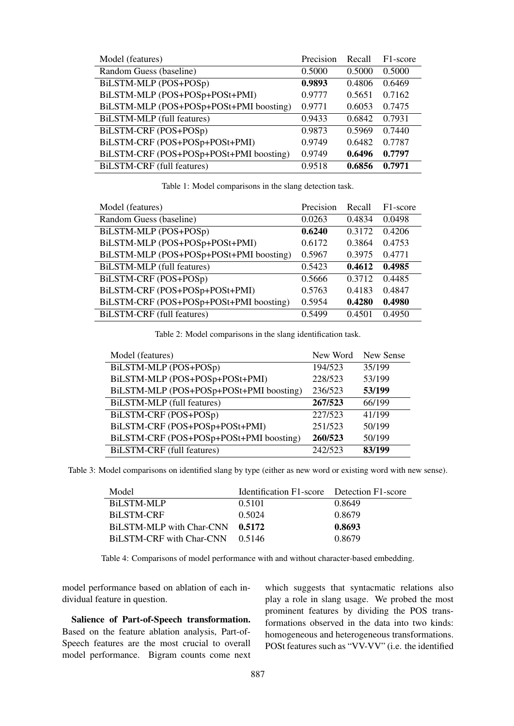<span id="page-6-0"></span>

| Model (features)                        | Precision | Recall | F <sub>1</sub> -score |
|-----------------------------------------|-----------|--------|-----------------------|
| Random Guess (baseline)                 | 0.5000    | 0.5000 | 0.5000                |
| BiLSTM-MLP (POS+POSp)                   | 0.9893    | 0.4806 | 0.6469                |
| BiLSTM-MLP (POS+POSp+POSt+PMI)          | 0.9777    | 0.5651 | 0.7162                |
| BiLSTM-MLP (POS+POSp+POSt+PMI boosting) | 0.9771    | 0.6053 | 0.7475                |
| BiLSTM-MLP (full features)              | 0.9433    | 0.6842 | 0.7931                |
| BiLSTM-CRF (POS+POSp)                   | 0.9873    | 0.5969 | 0.7440                |
| BiLSTM-CRF (POS+POSp+POSt+PMI)          | 0.9749    | 0.6482 | 0.7787                |
| BiLSTM-CRF (POS+POSp+POSt+PMI boosting) | 0.9749    | 0.6496 | 0.7797                |
| BiLSTM-CRF (full features)              | 0.9518    | 0.6856 | 0.7971                |

Table 1: Model comparisons in the slang detection task.

<span id="page-6-1"></span>

| Model (features)                        | Precision | Recall | F <sub>1</sub> -score |
|-----------------------------------------|-----------|--------|-----------------------|
| Random Guess (baseline)                 | 0.0263    | 0.4834 | 0.0498                |
| BiLSTM-MLP (POS+POSp)                   | 0.6240    | 0.3172 | 0.4206                |
| BiLSTM-MLP (POS+POSp+POSt+PMI)          | 0.6172    | 0.3864 | 0.4753                |
| BiLSTM-MLP (POS+POSp+POSt+PMI boosting) | 0.5967    | 0.3975 | 0.4771                |
| BiLSTM-MLP (full features)              | 0.5423    | 0.4612 | 0.4985                |
| BiLSTM-CRF (POS+POSp)                   | 0.5666    | 0.3712 | 0.4485                |
| BiLSTM-CRF (POS+POSp+POSt+PMI)          | 0.5763    | 0.4183 | 0.4847                |
| BiLSTM-CRF (POS+POSp+POSt+PMI boosting) | 0.5954    | 0.4280 | 0.4980                |
| BiLSTM-CRF (full features)              | 0.5499    | 0.4501 | 0.4950                |

Table 2: Model comparisons in the slang identification task.

<span id="page-6-2"></span>

| Model (features)                        | New Word | New Sense |
|-----------------------------------------|----------|-----------|
| BiLSTM-MLP (POS+POSp)                   | 194/523  | 35/199    |
| BiLSTM-MLP (POS+POSp+POSt+PMI)          | 228/523  | 53/199    |
| BiLSTM-MLP (POS+POSp+POSt+PMI boosting) | 236/523  | 53/199    |
| BiLSTM-MLP (full features)              | 267/523  | 66/199    |
| BiLSTM-CRF (POS+POSp)                   | 227/523  | 41/199    |
| BiLSTM-CRF (POS+POSp+POSt+PMI)          | 251/523  | 50/199    |
| BiLSTM-CRF (POS+POSp+POSt+PMI boosting) | 260/523  | 50/199    |
| BiLSTM-CRF (full features)              | 242/523  | 83/199    |

<span id="page-6-3"></span>Table 3: Model comparisons on identified slang by type (either as new word or existing word with new sense).

| Model                           | Identification F1-score Detection F1-score |        |
|---------------------------------|--------------------------------------------|--------|
| BILSTM-MLP                      | 0.5101                                     | 0.8649 |
| <b>BiLSTM-CRF</b>               | 0.5024                                     | 0.8679 |
| BiLSTM-MLP with Char-CNN 0.5172 |                                            | 0.8693 |
| BiLSTM-CRF with Char-CNN 0.5146 |                                            | 0.8679 |

Table 4: Comparisons of model performance with and without character-based embedding.

model performance based on ablation of each individual feature in question.

Salience of Part-of-Speech transformation. Based on the feature ablation analysis, Part-of-Speech features are the most crucial to overall model performance. Bigram counts come next which suggests that syntacmatic relations also play a role in slang usage. We probed the most prominent features by dividing the POS transformations observed in the data into two kinds: homogeneous and heterogeneous transformations. POSt features such as "VV-VV" (i.e. the identified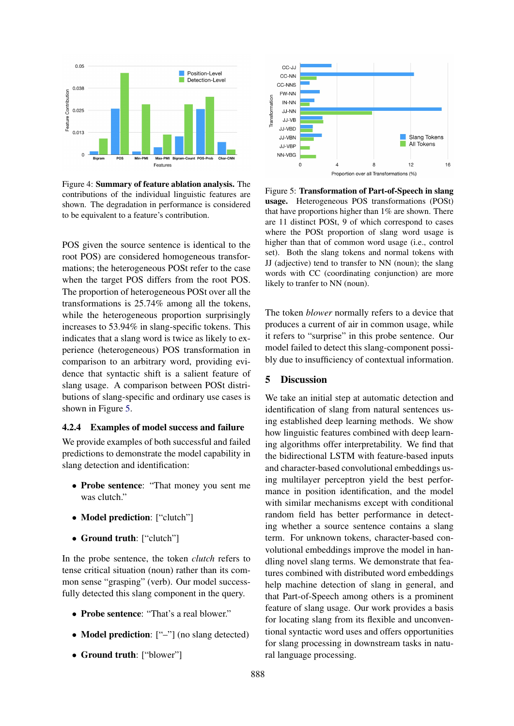<span id="page-7-0"></span>

Figure 4: Summary of feature ablation analysis. The contributions of the individual linguistic features are shown. The degradation in performance is considered to be equivalent to a feature's contribution.

POS given the source sentence is identical to the root POS) are considered homogeneous transformations; the heterogeneous POSt refer to the case when the target POS differs from the root POS. The proportion of heterogeneous POSt over all the transformations is 25.74% among all the tokens, while the heterogeneous proportion surprisingly increases to 53.94% in slang-specific tokens. This indicates that a slang word is twice as likely to experience (heterogeneous) POS transformation in comparison to an arbitrary word, providing evidence that syntactic shift is a salient feature of slang usage. A comparison between POSt distributions of slang-specific and ordinary use cases is shown in Figure [5.](#page-7-1)

#### 4.2.4 Examples of model success and failure

We provide examples of both successful and failed predictions to demonstrate the model capability in slang detection and identification:

- Probe sentence: "That money you sent me was clutch."
- Model prediction: ["clutch"]
- Ground truth: ["clutch"]

In the probe sentence, the token *clutch* refers to tense critical situation (noun) rather than its common sense "grasping" (verb). Our model successfully detected this slang component in the query.

- Probe sentence: "That's a real blower."
- **Model prediction**: ["-"] (no slang detected)
- Ground truth: ["blower"]

<span id="page-7-1"></span>

Figure 5: Transformation of Part-of-Speech in slang usage. Heterogeneous POS transformations (POSt) that have proportions higher than 1% are shown. There are 11 distinct POSt, 9 of which correspond to cases where the POSt proportion of slang word usage is higher than that of common word usage (i.e., control set). Both the slang tokens and normal tokens with JJ (adjective) tend to transfer to NN (noun); the slang words with CC (coordinating conjunction) are more likely to tranfer to NN (noun).

The token *blower* normally refers to a device that produces a current of air in common usage, while it refers to "surprise" in this probe sentence. Our model failed to detect this slang-component possibly due to insufficiency of contextual information.

## 5 Discussion

We take an initial step at automatic detection and identification of slang from natural sentences using established deep learning methods. We show how linguistic features combined with deep learning algorithms offer interpretability. We find that the bidirectional LSTM with feature-based inputs and character-based convolutional embeddings using multilayer perceptron yield the best performance in position identification, and the model with similar mechanisms except with conditional random field has better performance in detecting whether a source sentence contains a slang term. For unknown tokens, character-based convolutional embeddings improve the model in handling novel slang terms. We demonstrate that features combined with distributed word embeddings help machine detection of slang in general, and that Part-of-Speech among others is a prominent feature of slang usage. Our work provides a basis for locating slang from its flexible and unconventional syntactic word uses and offers opportunities for slang processing in downstream tasks in natural language processing.